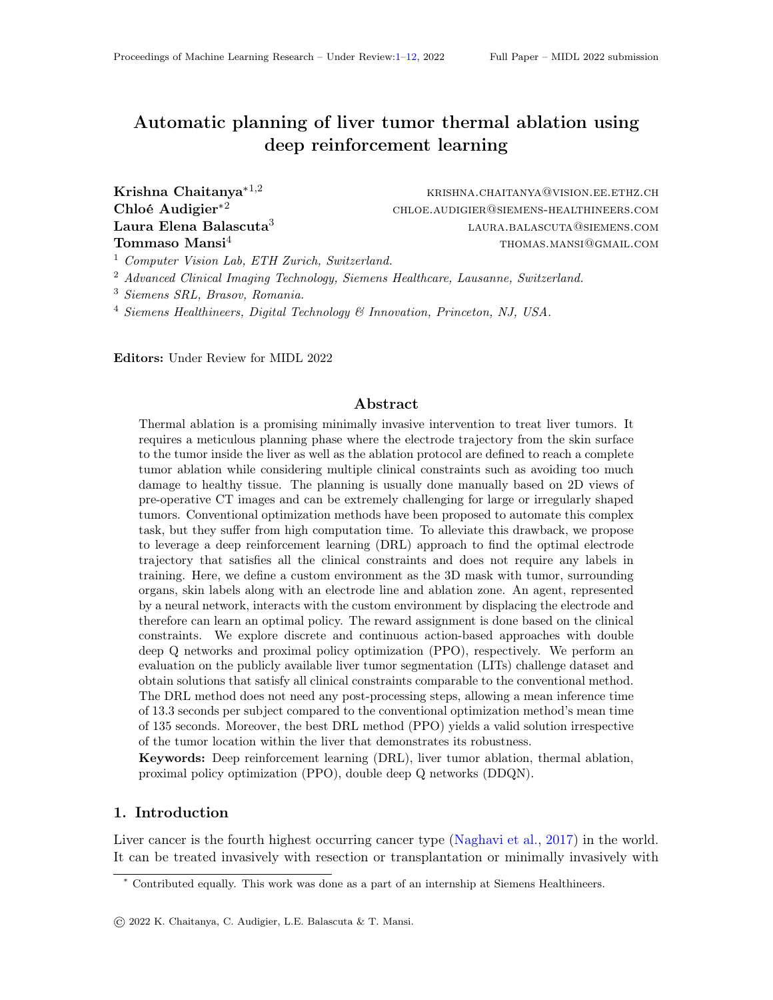# Automatic planning of liver tumor thermal ablation using deep reinforcement learning

Laura Elena Balascuta<sup>3</sup>

**Krishna Chaitanya**<sup>\*1,2</sup> krishna.chaitanya@vision.ee.ethz.ch Chloé Audigier<sup>\*2</sup> chloe.audigier<sup>\*2</sup> chloe.audigier®siemens-healthineers.com laura.balascuta@siemens.com Tommaso Mansi<sup>4</sup> thomas.mansi@gmail.com

<sup>1</sup> Computer Vision Lab, ETH Zurich, Switzerland.

<sup>2</sup> Advanced Clinical Imaging Technology, Siemens Healthcare, Lausanne, Switzerland.

<sup>3</sup> Siemens SRL, Brasov, Romania.

<sup>4</sup> Siemens Healthineers, Digital Technology & Innovation, Princeton, NJ, USA.

Editors: Under Review for MIDL 2022

#### Abstract

Thermal ablation is a promising minimally invasive intervention to treat liver tumors. It requires a meticulous planning phase where the electrode trajectory from the skin surface to the tumor inside the liver as well as the ablation protocol are defined to reach a complete tumor ablation while considering multiple clinical constraints such as avoiding too much damage to healthy tissue. The planning is usually done manually based on 2D views of pre-operative CT images and can be extremely challenging for large or irregularly shaped tumors. Conventional optimization methods have been proposed to automate this complex task, but they suffer from high computation time. To alleviate this drawback, we propose to leverage a deep reinforcement learning (DRL) approach to find the optimal electrode trajectory that satisfies all the clinical constraints and does not require any labels in training. Here, we define a custom environment as the 3D mask with tumor, surrounding organs, skin labels along with an electrode line and ablation zone. An agent, represented by a neural network, interacts with the custom environment by displacing the electrode and therefore can learn an optimal policy. The reward assignment is done based on the clinical constraints. We explore discrete and continuous action-based approaches with double deep Q networks and proximal policy optimization (PPO), respectively. We perform an evaluation on the publicly available liver tumor segmentation (LITs) challenge dataset and obtain solutions that satisfy all clinical constraints comparable to the conventional method. The DRL method does not need any post-processing steps, allowing a mean inference time of 13.3 seconds per subject compared to the conventional optimization method's mean time of 135 seconds. Moreover, the best DRL method (PPO) yields a valid solution irrespective of the tumor location within the liver that demonstrates its robustness.

Keywords: Deep reinforcement learning (DRL), liver tumor ablation, thermal ablation, proximal policy optimization (PPO), double deep Q networks (DDQN).

#### 1. Introduction

Liver cancer is the fourth highest occurring cancer type [\(Naghavi et al.,](#page-9-0) [2017\)](#page-9-0) in the world. It can be treated invasively with resection or transplantation or minimally invasively with

<sup>∗</sup> Contributed equally. This work was done as a part of an internship at Siemens Healthineers.

<sup>©</sup> 2022 K. Chaitanya, C. Audigier, L.E. Balascuta & T. Mansi.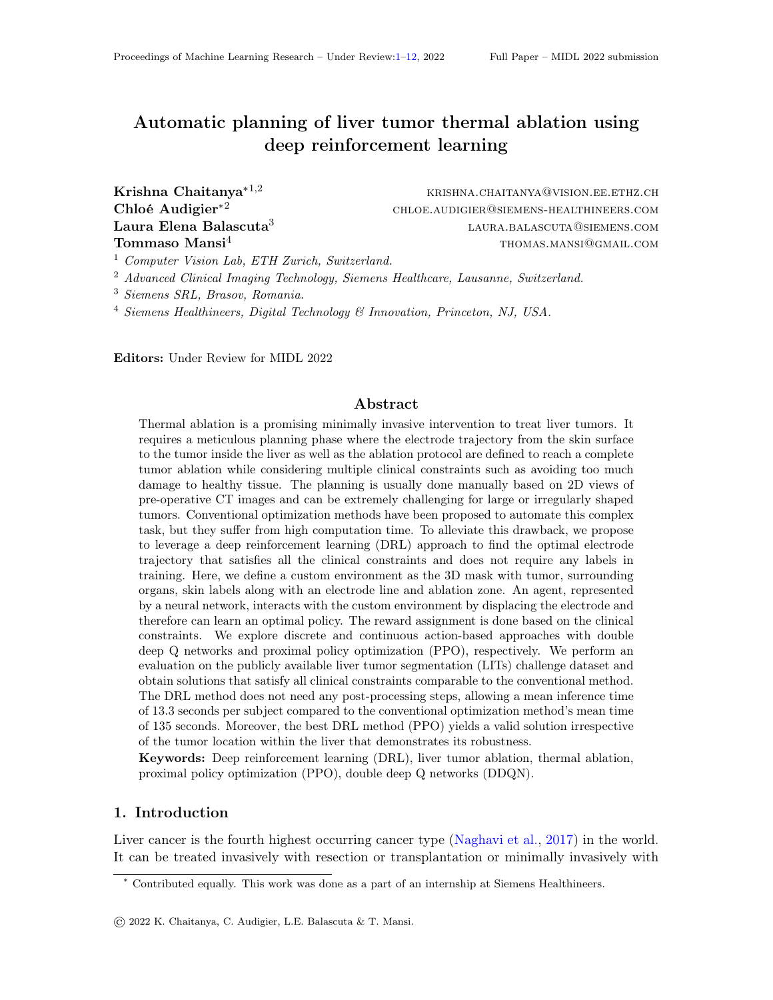thermal ablation. For example, radiofrequency ablation is a widely used technique (Garrean et al., 2008; [Minami and Kudo,](#page-9-1) [2011\)](#page-9-1), where a thin electrode is inserted from the skin surface into the tumor. A high-frequency electric field is induced to increase the temperature and generate an ablation in the targeted tumor and surrounding tissues. Thermal ablation requires a meticulous planning phase whose goal is to find the optimal electrode trajectory and ablation protocol that achieves a complete tumor ablation and satisfy certain clinical constraints such as avoiding too much damage to healthy tissue.

Typically, clinicians plan the intervention manually by visualizing the CT images in 2D. Such visual planning is time-consuming and challenging. It can lead to incomplete tumor ablation and the acquisition of many CT images to avoid collision of the electrodes with surrounding organs at risk (OAR). Therefore, computed assisted planning is valuable with the initial solutions offering better visualization for interactive planning tools [\(McCreedy](#page-9-2) [et al.,](#page-9-2) [2006;](#page-9-2) [Rieder et al.,](#page-10-0) [2009;](#page-10-0) Khlebnikov et al., 2011; Kerbl et al., 2012).

Conventional optimization-based methods have been proposed using downhill simplex optimization (Baegert et al., 2007a,b), a gradient descent method (Altrogge et al., 2006), Pareto optimality [\(Seitel et al.,](#page-10-1) [2011;](#page-10-1) [Schumann et al.,](#page-10-2) [2015\)](#page-10-2) and others (Baegert et al., 2007a,b; [Schumann et al.,](#page-10-3) [2010;](#page-10-3) [Seitel et al.,](#page-10-1) [2011;](#page-10-1) [Schumann et al.,](#page-10-2) [2015\)](#page-10-2). In a relevant work [\(Liang et al.,](#page-9-3) [2019\)](#page-9-3), the authors propose to leverage a cover-set-based method to find the set of Pareto optimal electrode trajectories satisfying all clinical constraints. Here, (a) first they identify a set of target tumor points, (b) next, determine all the available entry skin points and select a subset of valid points that satisfy clinical constraints, (c) compute a score based on the clinical constraints for trajectory paths from all the tumor points to all valid skin points, and (d) lastly, these paths and scores information are input to an optimization framework that finds the optimal trajectory paths. Such approaches are computationally expensive since they involve many processing steps with a high inference time per subject ranging from hours to minutes for the fastest method [\(Liang et al.,](#page-9-3) [2019\)](#page-9-3).

Alternatively, data-driven approaches, especially deep learning (DL) methods, are good at mitigating such inference time issues and yield accurate and quick results. Fully supervised DL approaches have been proposed for automatic planning of medical interventions [\(Tschanne](#page-10-4)n [et al.,](#page-10-4) [2016;](#page-10-4) Esfandiari et al., 2018; [Kulyk et al.,](#page-9-4) [2018;](#page-9-4) [Vercauteren et al.,](#page-10-5) [2019\)](#page-10-5). But they require a large set of annotations for training to yield high performance, and acquiring such electrode trajectories annotations from clinical experts is time-consuming and expensive. Deep reinforcement learning (DRL) based solutions [\(Sutton et al.,](#page-10-6) [2000;](#page-10-6) [Mnih et al.,](#page-9-5) [2013\)](#page-9-5) can be a promising alternative to supervised approaches as they do not require labeled datasets as explored in [\(Kober et al.,](#page-9-6) [2013;](#page-9-6) Ghesu et al., 2017; [Krebs et al.,](#page-9-7) [2017;](#page-9-7) [Zhang](#page-11-1) [et al.,](#page-11-1) [2018;](#page-11-1) [Yu et al.,](#page-11-2) [2019\)](#page-11-2). Recently, a DRL-based approach (Ackermann et al., 2021) was proposed for surgery planning of orthopedic hip disorders with training done in a custom simulated environment and later tested on a small dataset of 8 patients. The validation size may not be adequate to deploy for clinical applications. Moreover, training with simulated data and testing on real-world data has been shown to not generalize well [\(Pan et al.,](#page-9-8) [2017\)](#page-9-8) due to the changes in data distribution. Also, DRL approaches do not involve any processing steps and can generalize well at test-time due to the nature of training.

In this work, to address the above limitations, we present a DRL-based approach with low inference time and no manual annotations requirement during training to find an optimal ablation plan achieving 100% tumor coverage and satisfying all clinical constraints.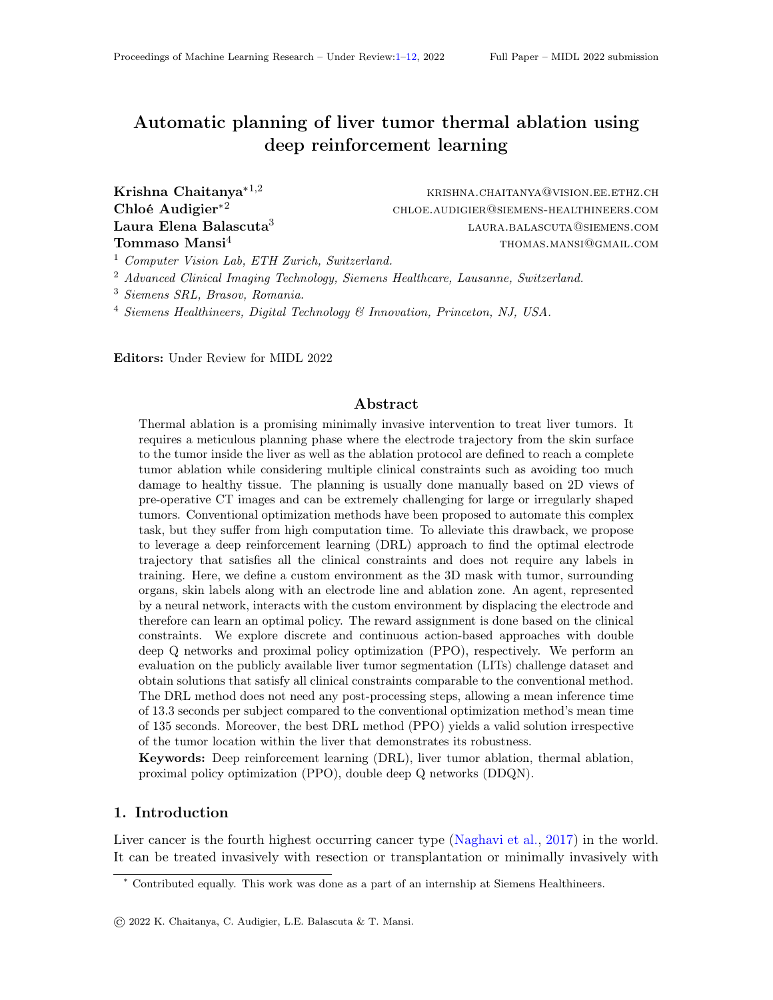Figure 1: (a) Custom environment dened with organs at risk, tumor, skin masks, and electrode trajectory with ablation zone. (b) discrete action based displacement of skin electrode endpoint done using a double DQN approach. (c) continuous action based displacement of skin electrode endpoint done with a proximal policy optimization method.

Speci cally, we explore two approaches: (a) in the rst one, we explore a discrete displacement of electrode endpoint with a double deep Q network[s \(Van Hasselt et a](#page-10-7)l., [201](#page-10-7)6) (DDQN) that estimates discrete action values. We also evaluate hindsight experience replay (Andrychowicz et al., 2017) (HER) with DDQN. (b) in the second, we explore the continuous displacement of electrode endpoint with a policy gradient method, proximal policy optimization (Schulman et al., 2017) (PPO) that outputs the continuous action policy directly. We evaluate both approaches on a public dataset (LITs) (Bilic et al., 2019) and obtain results comparable to a simpli ed conventional optimisation implementation based on (Liang et al., 2019). We perform additional analysis to evaluate the robustness of the approach with respect to the tumor location within the 9 liver segments (refer to Fig. 3).

# 2. Methods

To automate the tedious liver tumor thermal ablation planning, we leverage a deep reinforcement learning (DRL) approach to predict the optimal electrode trajectory satisfying all the clinical constraints. Reinforcement learning is a framework where an agent learns how to interact with an environment based on experiences. The objective is to maximize the cumulative rewards by learning an optimal policy that gives a set of actions to take from a current state to reach the terminal state. The environment state is updated based on the agent's action and a reward is obtained. This iteration is done till the nal state is reached.

# 2.1. Custom Environment (Env)

In Fig. 1.a., we present the custom environment consisting of the mask m, containing 3D information of the tumor, organs at risk and skin masks, and the electrode endpoints  $F_u$ ;  $P_v$ ) with the ablation zone. The state  $S_t$  is de ned based on this combined information as  $S_t = (m; P_u; P_v)$ . The electrode tumor endpoint  $P_u$  is xed at the center of the tumor. Here, the ablation zone is modeled as a sphere centered  $R<sub>i</sub>$  whose radius is chosen from a given set of valid radius values to achieve a 100% tumor coverage. The electrode skin endpoint  $P_v = (x_v; y_v; z_v)$  is randomly assigned outside the skin surface while ensuring an electrode length less than 150mm (clinical constraint).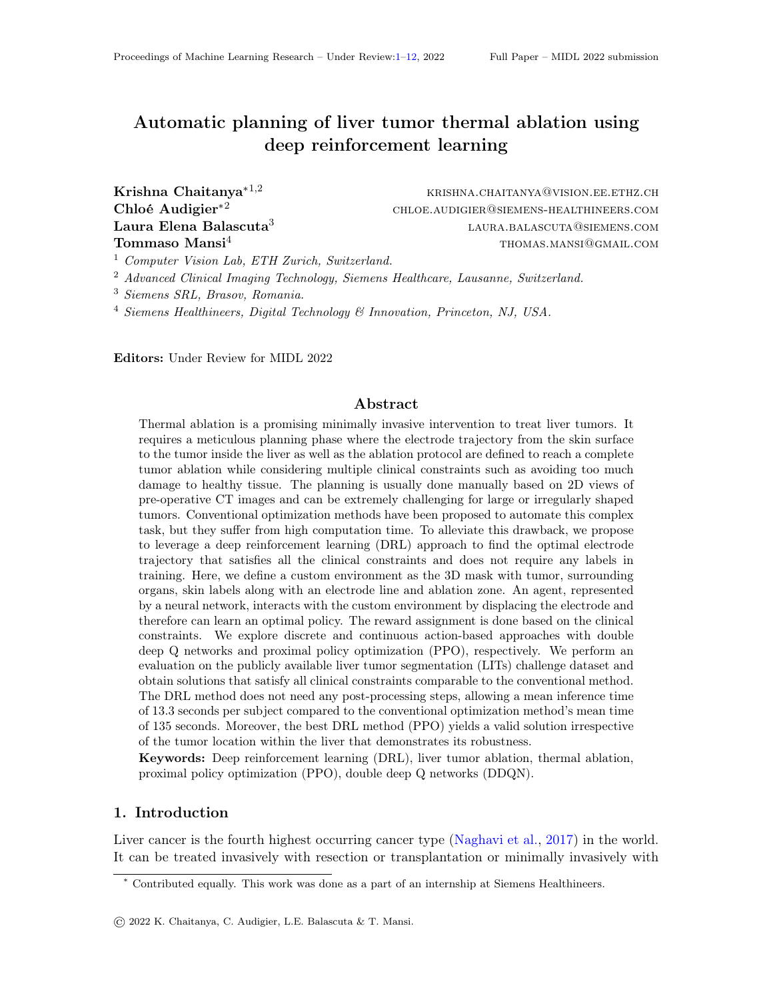| <b>Clinical Constraints</b>                                                                      | Rewards for skin endpoint<br>$P_v$ |
|--------------------------------------------------------------------------------------------------|------------------------------------|
| 1. Electrode trajectory must not collide with OAR                                                | $+1$                               |
| 2. Electrode skin endpoint $P_v$ must be outside the body                                        | $+1$                               |
| 3. Length of electrode within the body $(I_e)$ is less than $r_1 = (150$                         | $I_e$ )=150                        |
| the maximum allowed electrode length (150 mm)                                                    |                                    |
| 4. The distance $(d_{\text{oar}})$ between OAR and the electrode is $r_d = d_{\text{oar}} = 100$ |                                    |
| at least 12 mm                                                                                   |                                    |
| 5. Ablation zone on $P_u$ must have 100% tumor coverage NA                                       |                                    |
| 6. Ablation zone must not have any collision with OAR                                            | <b>NA</b>                          |

Table 1: Clinical constraints and corresponding rewards for skin electrode endpoin $P_v$ .

In a given state  $S_t$  (initial state for each subject), the network outputs an actiona<sub>v</sub> which is used to update $P_v$  to  $P_{v+1}$ . The next state  $S_{t+1}$  is computed using the updated electrode endpoints  $P_u$ ;  $P_{v+1}$ ) and the mask m. This is repeated until either the terminal state is reached or a maximum number of 50 steps is reached. The net reward  $_{+1}$  is estimated based on the updated state  $S_{t+1}$  with new endpoint. Based on a pre-de ned net reward value, we determine whether to continue to move to a new electrode state or terminate. The termination happens when it satises all the clinical constraints (Table 1) and is called aterminal or nal state , where the reward value is 2.12 or greater.

Clinical constraints and rewards: The clinical constraints and corresponding rewards are given in Table 1. For constraint  $3, r<sub>1</sub>$  is positive when the electrode length is less than 150 mm, and negative when it is greater than 150 mm. In terminal state, all clinical constraints must be satis ed, so, the minimum reward is 2.12 with  $d_0$  0.12 and  $r_1 > 0$ .

We explored two approaches: a double deep Q networks (Sec. 2.2) where the electrode endpoints displacement are modeled using a discrete action space and a proximal policy optimization (Sec. 2.3) where a continuous action space is used.

# 2.2. Double deep Q networks (DDQN)

To model the displacement of electrode endpoint in discrete steps, we use a value learning approach, the double deep Q network (DDQN) (Van Hasselt et al., 2016). The outline of this approach is presented in Fig. 1.b. Here, we have a pre-dened number of possible actions. Given an input state  $S_t$ , the online network estimates the Q-valuesQ  $\sqrt{S_t}$ ;  $a_v$ ) for all the pre-dened actions. The action with the highest Q-value is used to estimate action policy  $v(S_t)$  and chosen as the best actiona, that is later applied to get the updated state  $S_{t+1}$ and corresponding reward $R_{t+1}$ . The discrete action values area<sub>v</sub> = (1=0; 1=0; 1=0) meaning that each coordinate of the electrode endpoint can be updated by +1, -1 or 0 (no displacement) in the 3D space. Thereby, the dense layers output  $273$   $\text{\textdegreeled{1}}$  Q-values corresponding to the combinations of possible actions. The skin electrode endpoint is updated as  $P_{v+1} = P_v(a_v) = (x_v 1=0; y_v 1=0; z_v 1=0).$ 

We have two sets of networks as proposed in DDQN (Van Hasselt et al., 2016), shown in Fig. 1.b., referred to as online and target networks with parameters and , respectively. The online network aims to reach the Q-value estimated by the target network by the end of training. The online network weights are updated by optimizing the mean squared error loss as dened in Eqn. 1 and the target network weights are updated periodically with the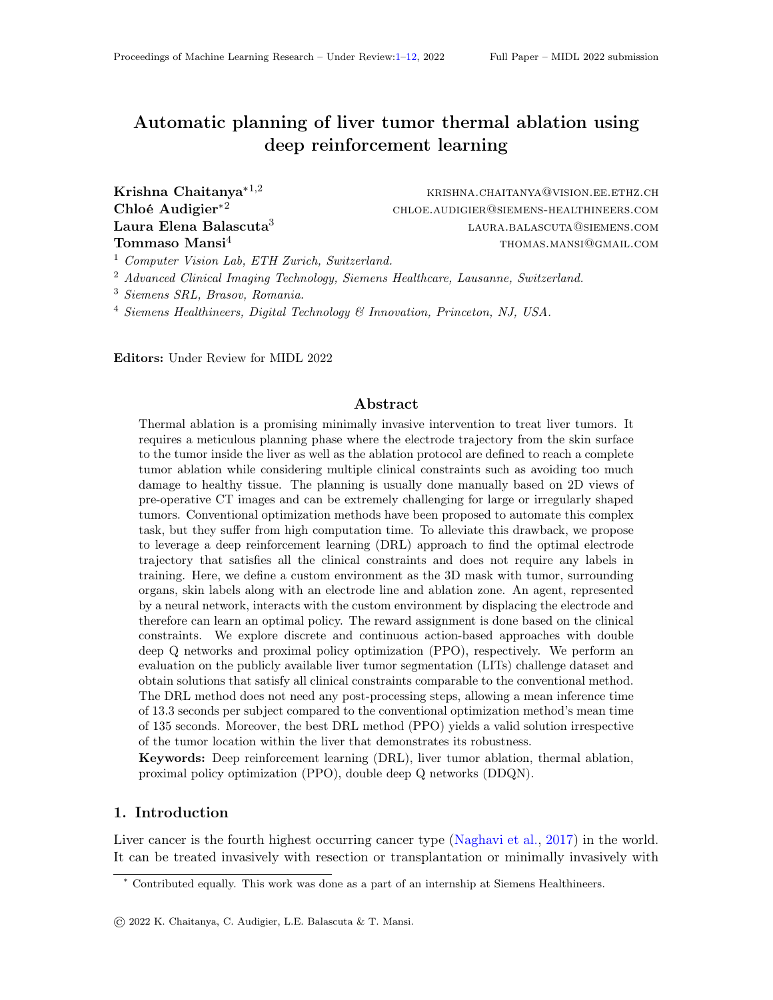online network weights  $=$  after every N number of training episodes.

$$
L_d = E[k (R_t + Q^{\vee} (S_{t+1}; \sqrt{S_{t+1}}); ) ) \ Q(S_t; a_v; ) k^2]
$$
 (1)

Here, the rst term is the target network Q-value estimate, and the second term is the online network Q-value estimate. In the rst term, denotes the discount factor used in the cumulative reward estimation.

Hindsight experience replay (HER) : Since the electrode trajectory solutions exist sparsely, we explore HER used with DDQN that has provided performance gains for such sparse reward problems (Andrychowicz et al., 2017). For HER, we consider nal states that do not reach the terminal state as an additional "terminal" state if they satisfy the clinical constraints of 1; 2; 3 and do not satisfy the constraint 4 (min. distance to OAR  $> 12$ mm). In those cases, this distance would lie between 0 and 12mm as enforced by constraint 1.

#### 2.3. Proximal Policy Optimization

For the continuous displacement of electrode endpoint, we consider a popular policy gradient method called Proximal Policy Optimization (PPO), whose outline is presented in Fig. 1.c. With this approach, a shared 3D network followed by two smaller dense layer networks called actor and critic networks are dened. The actor-network estimates the mean  $<sub>v</sub>$ </sub> of the action policy while the critic network estimates the value-function  $V(S_t)$  of the state ( denotes the network parameters).  $_{\rm v}$  is multi-dimensional (3 values for the 3D coordinates of  $P_v$ ). The action policy  $(a_v|S_t)$  is de ned as a multivariate Gaussian distribution N( $\vee$ ;  $\vee$ ) with the mean value  $\vee$  output from the network and a xed variance value  $\quad\rm v.}$  Next, a random continuous action value  ${\sf a}_{\sf v}$  =  $\,({\sf a}_{{\sf x}_{\sf v}};{\sf a}_{{\sf y}_{\sf v}};{\sf a}_{{\sf z}_{\sf v}})$  is sampled from the Gaussian distribution N( $v_i$ ,  $v_j$ ) and applied to get updated electrode skin endpoint:  $P_{v+1} = P_v(a_v) = (x_v + a_{x_v}; y_v + a_{y_v}; z_v + a_{z_v}).$ 

The net loss for the PPO approach training is de ned as below:

$$
L_c = E_t L_{clip} ( ) c_1 L_t^{VF} ( ) + c_2 S[t_v](S_t)
$$
 (2)  
h

The  $\,$  rst term is the clipped loss:  $\sf L_{clip}(\,$   $) = \sf E_{t}$ min (r<sub>t</sub>( ) $\mathsf{A}_\mathsf{t}$ ; clip(r<sub>t</sub>( ); 1 "; 1 + ") $\mathsf{A}_\mathsf{t}$ ) Here, " controls the change in policy,  $r_t$  is the ratio of likelihood of actions under current vs old policy de ned as  $r_t(\ )=\ \frac{(a_t\,j s_t)}{s^{d_d}\,(a_t\,j s_t)}$ .  $A_t$  is the advantage function that measures the relative positive or negative reward value for current set of actions w.r.t an average set of actions. It is de ned as:  $\hat{A}_t = \hat{R}_t \quad V$  (S<sub>t</sub>), where  $\hat{R}_t$  is the cumulative rewards given by  $\mathcal{R}_t = r_t + r_{t+1} + :: + T^{\dagger} V(S_t)$ , T is maximum number of steps allowed in an episode.

The second term is the mean squared error of value function  $L_t^{\vee}$   $F( ) = kR_t^{\circ}$  V  $(S_t)k^2$ . The hyper-parameter  $c_1$  controls the contribution of this loss term from the critic network.

The third term is the entropy term that dictates policy exploration with the hyperparameter  $c_2$  where a lowerc<sub>2</sub> value means lower exploration, and vice-versa.

#### 3. Datasets and training details

Dataset: The LITs dataset (Bilic et al., 2019) is a publicly available dataset that contains 130 CT scans with expert annotations for tumors and livers. Each CT volume contains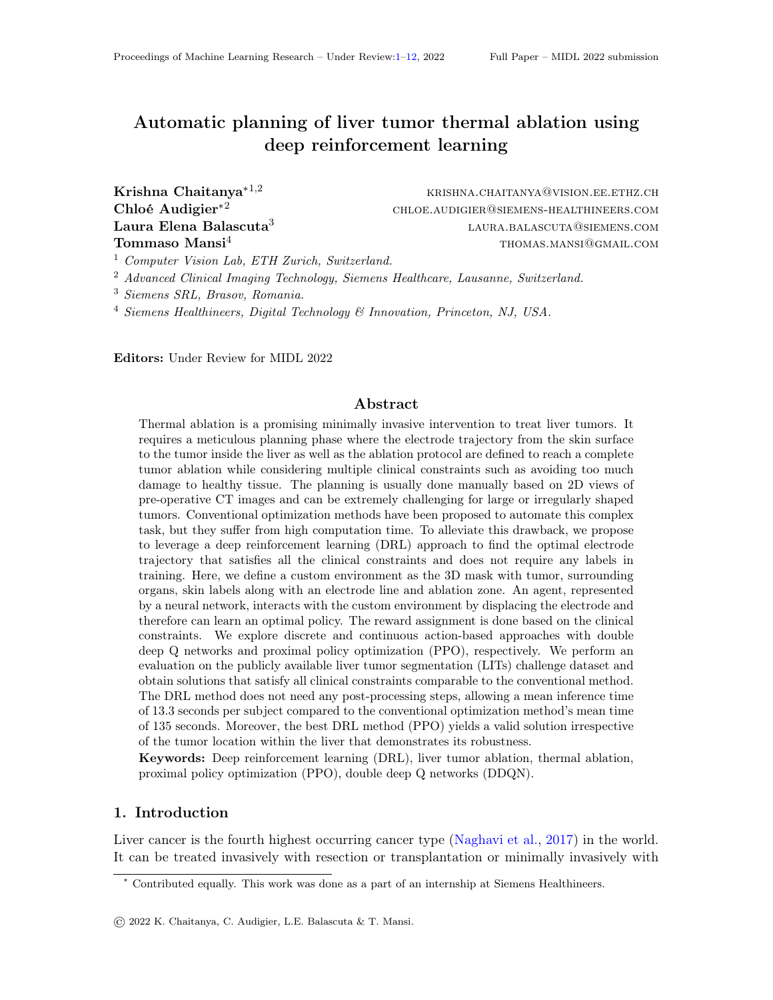multiple tumors. We select a maximum of 10 tumors per subject that can be ablated without collision with any OAR leading to a total of 496 cases, which we split into training, validation, and test sets containing 225, 131, and 140 cases, respectively.

Pre-processing: First, the segmentation of the organs at risk (OAR), and 9 segments of the liver are generated automatically using a deep learning image-to-image network (Yang et al., 2017). The OAR mask contains spleen, heart, right and left kidney, right and left lung, bladder, spinal cord, aorta, aorta hepa, ribs, skeleton, hepatic vessels and portal veins. Then, we dene a combined 3D mask (m) with tumor, liver, OAR, and skin labels by applying the below steps sequentially: (1) dilation of 1 mm to ribs, skeleton, blood vessels in the liver, and 5mm to other OAR. (2) compute the ablation sphere radius for the tumor at 1mm<sup>3</sup> resolution. (3) re-sample mask (n) at 3mm<sup>3</sup>. (4) crop the mask based on the liver segmentation to reduce its dimensions and remove the unrealistic entry skin points located on the patient back. (5) compute the distance map to OAR, excluding blood vessels in the liver. Finally, crop the mask and distance map to xed dimensions of (96,90,128).

Network Architecture: The 3D network has the same architecture for both DDQN and PPO approaches. It has three 3D convolution layers with lter, kernel size, and strides of (32,8,4), (64,4,2), (64,3,1), respectively. The resultant output is attened and passed through a dense layer with 512 units output. All the above layers have ReLU activations. For DDQN, we have a dense layers network that takes these 512-units as input and returns 27 values corresponding to Q-values. For PPO, we have two outputs from actor and critic networks following the shared network. The actor-network has two dense layers with rst a dense layer of 64 outputs, followed by ReLU, and lastly with a dense layer of 3 output values (mean values). Similarly, the critic-network has two layers with a dense layer of 64 outputs, followed by ReLU, nally with a nal dense layer of 1 output value (value estimate).

Training Details:

DDQN: In each episode, we sample a random subject and try to reach the terminal state within a maximum of 50 steps by either exploration (randomly sampled action out of all possible actions) or exploitation (optimal action predicted by online network). All these experiences are populated in an experience replay buer (Zhang and Sutton, 2017) that stores all the (state, action, next state, reward) pairs in the memory referred to as experiences. At the start, we explore more and accumulate experiences. After reaching a pre-dened number of experiences, in each episode, the online network is trained on a batch of randomly sampled experiences from the replay bu er with the loss given in Eqn. 1. Here, batch size was set to 32 and learning rate to  $6e^{-4}$ . We evaluated ve values of : 0:1; 0:2; 0:3; 0:4; 0:5. The exploration and exploitation are controlled by a variable initially set as1, which decays with a decay rate  $o0:9995$  At the start of training, more exploration is done while towards the end, more exploitation is used. The target network weights are updated with the network weights of the online network periodically every 10 episodes. We found that training the networks for 2000 episodes led to a stable convergence.

PPO: In each episode, we sample a random subject. Next, the skin endpoint, is displaced to reach the terminal state within 50 steps. The network is updated at the end of the episode with the loss based on this episode's steps. In each episode training, we perform a joint optimization with both the rst and second loss terms in Eqn. 2 as we did not observe any performance gains using the third term of entropy loss and set to 0. We train the network for 2000 episodes with a learning rate of <sup>4</sup>. The hyper-parameters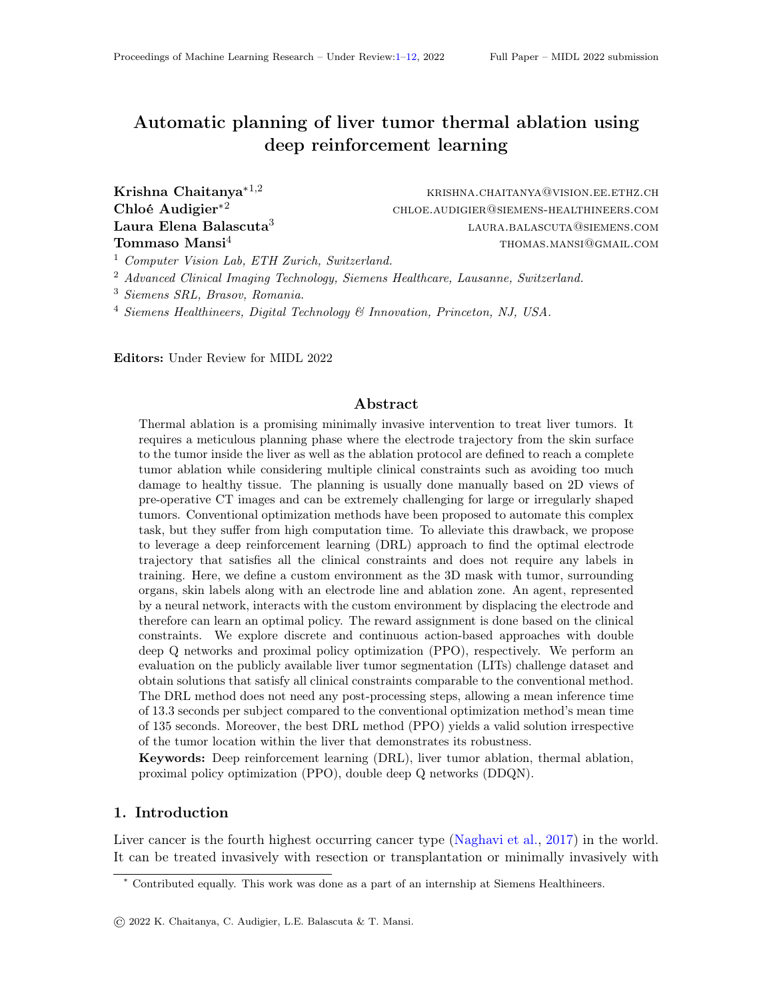$c_1$ ,  $v_1$ , " (ppo clip value) are empirically set to 1, 0:5, and 0:2, respectively. As suggested in (Schulman et al., 2015, 2017), in an episode, we stop the network updates when the mean KL divergence estimate (ratio of previous log probabilities to new log probabilities) for a given training example exceeds a threshold value, set to:02.

The training time for DRL methods DDQN, DDQN+HER, and PPO were 9.4, 7.2, and 10 hours, respectively. All models were trained on Quadro RTX 8000 GPU.

Evaluation: For each test subject, we consider 10 random initialization of the electrode skin endpoint  $P_v$ . The corresponding stateS<sub>t</sub> is passed through the trained network which either reaches a valid solution (terminal state, satisfying all constraints) within 50 steps or not. If a valid solution is found, the accuracy is set to 1. Else, it is set to 0 and declared as "failure case" (FC). When multiple valid solutions are found, the nal solution is chosen to be the one with the lowest electrode length. The model used for evaluation is the one that yields the highest accuracy on the validation set during all the training episodes.

# 4. Experiments and Results

First, we summarise the experiments done below and discuss the corresponding results later.

(I) We evaluate the DDQN, DDQN with HER and PPO approaches.

(II) We compare the inference time, electrode length, and minimum distance of electrode to each OAR given by the DRL method (PPO) and a conventional method (Liang et al., 2019). Since we only consider single needle ablation, the implementation is simplied and does not consider multi-needle or pullback technique as in the original work.

(III) We evaluate the robustness of DRL method (PPO) with respect to tumor location since the liver can be divided into 9 segments as illustrated in Figure 3. To do so, we select a number of test subjects having tumors exclusively present in 6 or more liver segments. With this selection criteria, we get 7 test subjects and present their results in Table 3.

Results: (I) We evaluated all the DRL approaches for ve values of0:1; 0:2; 0:3; 0:4; 0:5 and present them in Table 2. With DDQN, modeling the discrete displacement of electrode endpoint led to good results as presented in the rst row in Table 2. We get a few failure cases with the lowest values observed for gamma values  $df1$ , 0:4. With the addition of HER to DDQN, we do not observe signi cant improvements despite considering additional terminal states that satisfy a subset of constraints. Surprisingly, the continuous displacement of electrode endpoint done with proximal policy optimization (PPO) also provided comparable results as DDQN. Similarly, we get low number of failures cases, with the lowest value observed for gamma values of :1, 0:3. The conventional method gives an accuracy of 100% with zero failure cases.

| Method                   | $=0.1$ |    | $=0.2$ |    | $=0.3$ |     | $=0.4$ |           | $=0.5$ |           |
|--------------------------|--------|----|--------|----|--------|-----|--------|-----------|--------|-----------|
|                          | МA     | FC | МA     | FC | МA     | FC. | MA     | <b>FC</b> | MA     | <b>FC</b> |
| discrete action (DDQN)   | 0.986  | ⌒  | 0.972  | Δ  | 0.972  |     | 0.986  | ◠         | 0.972  |           |
| discrete action with HER | 0.979  | ີ  | 0.993  |    | 0.972  |     | 0.979  | າ         | 0.979  |           |
| continuous action (PPO)  | 0.993  |    | 0.972  |    | 0.993  |     | 0.979  | ຈ         | 0.958  | 6         |

Table 2: We obtain high mean accuracy (MA), and a low count of failure cases (FC) on the test set (140 test cases) for the evaluated DRL approaches on ve gamma values.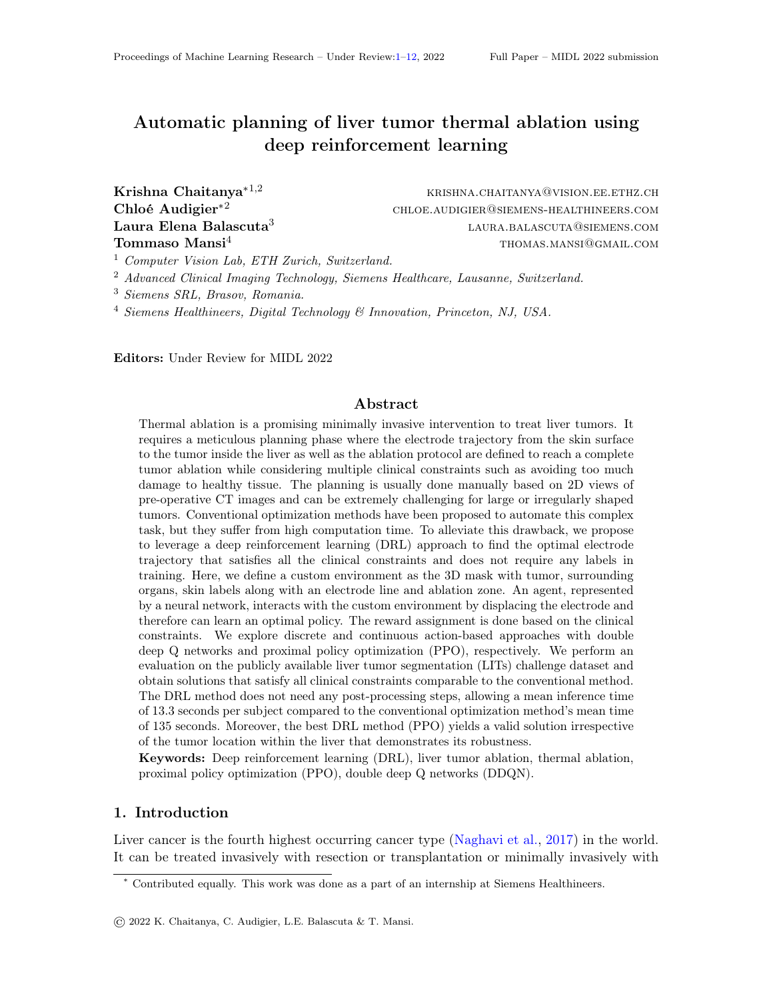Figure 2: We compare results in terms of electrode length and minimum distance between the electrode and each organ at risk (OAR) for both DRL (PPO) method and re-implemented conventional method. We obtain comparable results to conventional method.

(II) Next, we compare the best DRL approach (PPO model with a gamma value of 0.1) with a simplied implementation of the conventional approach on the test set. First, we observe a mean inference time per subject of 13.3 seconds (Quadro RTX8K GPU) for the DRL approach which is 10 times faster than the conventional model that takes 135 seconds. From Figure 2, we observe that the mean distance of the electrode to each organ at risk is higher for the DRL approach except for the bladder. But, the mean electrode length is slightly higher for the DRL approach.

(III) Lastly, we evaluate if the best DRL approach (PPO) can provide an ablation plan irrespective of the tumor location within the liver (Fig. 3). With the dened selection criteria, we get 7 patients with tumors in 6 or more segments, with a total of 50 tumor cases. For this evaluation, we used the same PPO model trained for experiment (I) with value being 0.1. We obtain solutions without any failure for all the tumor cases as shown in Table 3.

| Segment No: |   |     |  |  |  |  |
|-------------|---|-----|--|--|--|--|
| Fumor count | ◠ | ี่ค |  |  |  |  |
| МA          |   |     |  |  |  |  |
|             |   |     |  |  |  |  |

Figure 3: Axial, Coronal slice showing the 9 liver segments

Table 3: We present mean accuracy (MA) and failure count (FC) on 7 subjects that have tumors in 6 or more segments. We get 100% accuracy with 0 failures.

# 5. Conclusion

Manual planning of liver tumor thermal ablation is a challenging and time-consuming task. The drawbacks of previous automation works are their high inference time while supervised deep learning methods require large labeled datasets for training. We mitigate the above limitations by leveraging a deep reinforcement learning method that provides ablation plans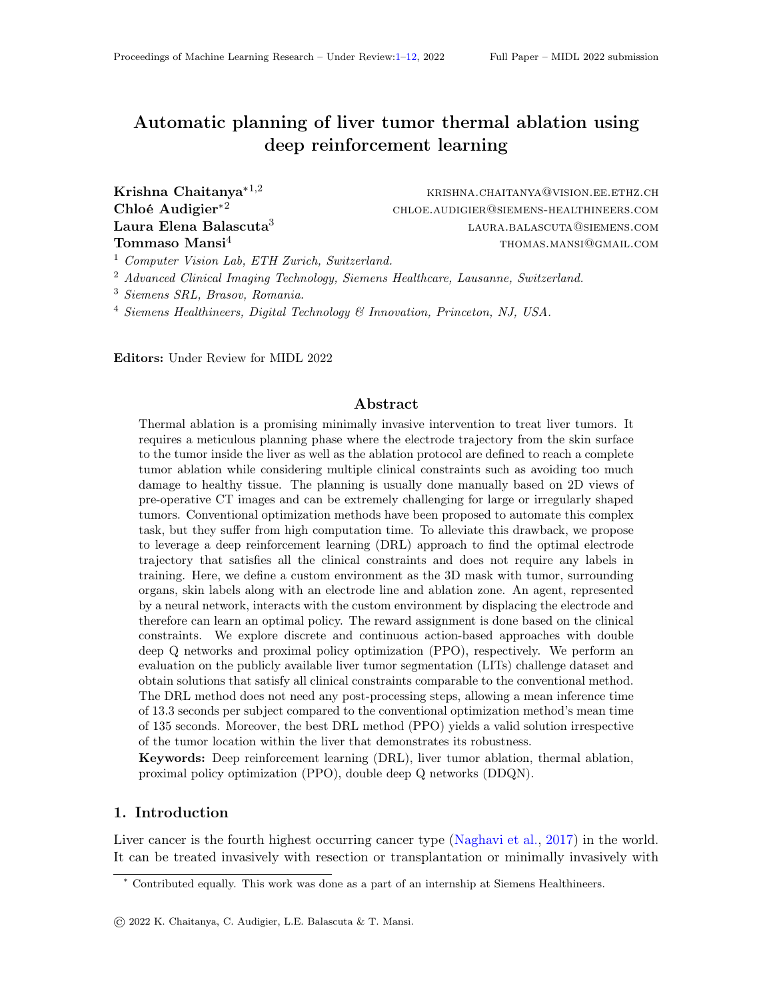with low inference time and does not require labels during training. For this, we compare two popular approaches to model the electrode displacement with either discrete actions using double deep Q networks, or continuous actions using proximal policy optimization. We obtain solutions that satisfy all clinical constraints comparable to the conventional method but with 10 times faster inference time. Additionally, we demonstrate the model's robustness to provide solutions irrespective of the tumor location in the liver. We discuss the future scope of work in the appendix.

# References

- Joëlle Ackermann, Matthias Wieland, Armando Hoch, Reinhold Ganz, Jess G Snedeker, Martin R Oswald, Marc Pollefeys, Patrick O Zingg, Hooman Esfandiari, and Philipp Fürnstahl. A new approach to orthopedic surgery planning using deep reinforcement learning and simulation. In International Conference on Medical Image Computing and Computer-Assisted Intervention, pages 540549. Springer, 2021.
- Inga Altrogge, Tim Kröger, Tobias Preusser, Christof Büskens, Philippe L Pereira, Diethard Schmidt, Andreas Weihusen, and Heinz-Otto Peitgen. Towards optimization of probe placement for radio-frequency ablation. InInternational Conference on Medical Image Computing and Computer-Assisted Intervention, pages 486493. Springer, 2006.
- Marcin Andrychowicz, Filip Wolski, Alex Ray, Jonas Schneider, Rachel Fong, Peter Welinder, Bob McGrew, Josh Tobin, Pieter Abbeel, and Wojciech Zaremba. Hindsight experience replay.arXiv preprint arXiv:1707.01495, 2017.
- Claire Baegert, Caroline Villard, Pascal Schreck, and Luc Soler. Multi-criteria trajectory planning for hepatic radiofrequency ablation. In International Conference on Medical Image Computing and Computer-Assisted Interventionpages 676 684. Springer, 2007a.
- Claire Baegert, Caroline Villard, Pascal Schreck, Luc Soler, and Afshin Gangi. Trajectory optimization for the planning of percutaneous radiofrequency ablation of hepatic tumors. Computer Aided Surgery, 12(2):8290, 2007b.
- Patrick Bilic, Patrick Ferdinand Christ, Eugene Vorontsov, Grzegorz Chlebus, Hao Chen, Qi Dou, Chi-Wing Fu, Xiao Han, Pheng-Ann Heng, Jürgen Hesser, et al. The liver tumor segmentation benchmark (lits). arXiv preprint arXiv:1901.04056, 2019.
- Hooman Esfandiari, Robyn Newell, Carolyn Anglin, John Street, and Antony J Hodgson. A deep learning framework for segmentation and pose estimation of pedicle screw implants based on c-arm uoroscopy. International journal of computer assisted radiology and surgery, 13(8):1269 1282, 2018.
- Sean Garrean, Justin Hering, Abdul Saied, W Scott Helton, and N Joseph Espat. Radiofrequency ablation of primary and metastatic liver tumors: a critical review of the literature. The American Journal of Surgery, 195(4):508 520, 2008.
- Florin-Cristian Ghesu, Bogdan Georgescu, Yefeng Zheng, Sasa Grbic, Andreas Maier, Joachim Hornegger, and Dorin Comaniciu. Multi-scale deep reinforcement learning for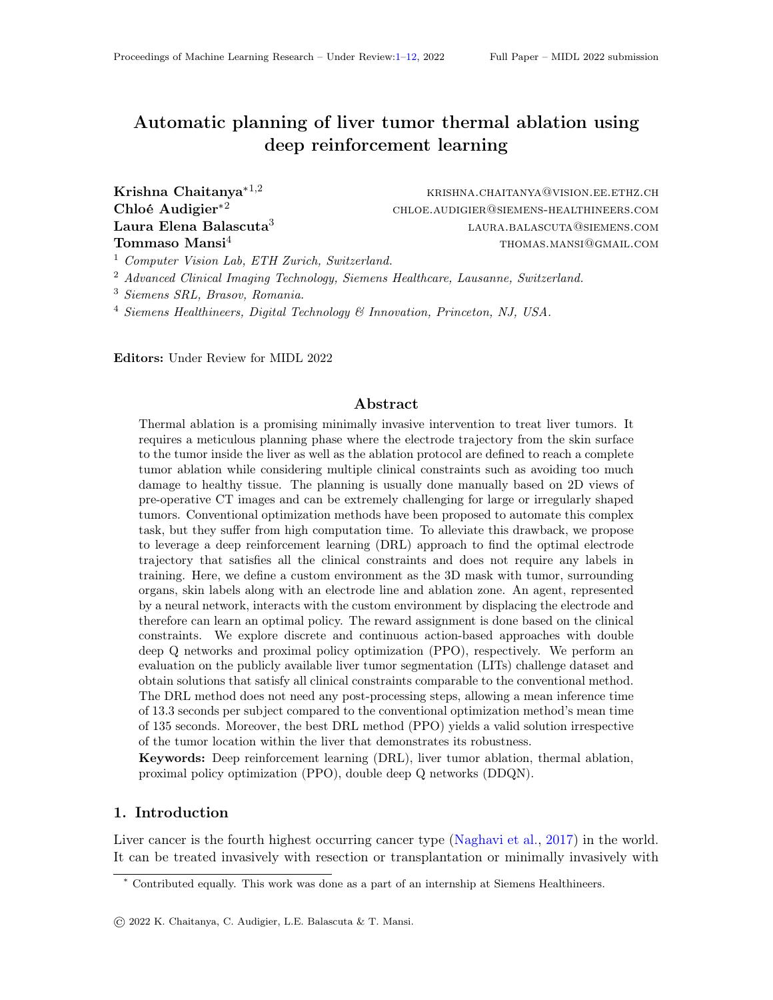real-time 3d-landmark detection in ct scans. IEEE transactions on pattern analysis and machine intelligence, 41(1):176–189, 2017.

- Bernhard Kerbl, Philip Voglreiter, Rostislav Khlebnikov, Dieter Schmalstieg, Daniel Seider, Michael Moche, Philipp Stiegler, Rupert H Portugaller, and Bernhard Kainz. Intervention planning of hepatocellular carcinoma radio-frequency ablations. In Workshop on Clinical Image-Based Procedures, pages 9–16. Springer, 2012.
- Rostislav Khlebnikov, Bernhard Kainz, Judith Muehl, and Dieter Schmalstieg. Crepuscular rays for tumor accessibility planning. IEEE transactions on visualization and computer graphics, 17(12):2163–2172, 2011.
- <span id="page-9-6"></span>Jens Kober, J Andrew Bagnell, and Jan Peters. Reinforcement learning in robotics: A survey. The International Journal of Robotics Research, 32(11):1238–1274, 2013.
- <span id="page-9-7"></span>Julian Krebs, Tommaso Mansi, Hervé Delingette, Li Zhang, Florin C Ghesu, Shun Miao, Andreas K Maier, Nicholas Ayache, Rui Liao, and Ali Kamen. Robust non-rigid registration through agent-based action learning. In International Conference on Medical Image Computing and Computer-Assisted Intervention, pages 344–352. Springer, 2017.
- <span id="page-9-4"></span>Paul Kulyk, Lazaros Vlachopoulos, Philipp Fürnstahl, and Guoyan Zheng. Fully automatic planning of total shoulder arthroplasty without segmentation: A deep learning based approach. In International Workshop on Computational Methods and Clinical Applications in Musculoskeletal Imaging, pages 22–34. Springer, 2018.
- <span id="page-9-3"></span>Libin Liang, Derek Cool, Nirmal Kakani, Guangzhi Wang, Hui Ding, and Aaron Fenster. Automatic radiofrequency ablation planning for liver tumors with multiple constraints based on set covering. IEEE transactions on medical imaging, 39(5):1459–1471, 2019.
- <span id="page-9-2"></span>Evan S McCreedy, Ruida Cheng, Paul F Hemler, Anand Viswanathan, Bradford J Wood, and Matthew J McAuliffe. Radio frequency ablation registration, segmentation, and fusion tool. IEEE Transactions on Information Technology in Biomedicine, 10(3):490–496, 2006.
- <span id="page-9-1"></span>Yasunori Minami and Masatoshi Kudo. Radiofrequency ablation of hepatocellular carcinoma: a literature review. International journal of hepatology, 2011, 2011.
- <span id="page-9-5"></span>Volodymyr Mnih, Koray Kavukcuoglu, David Silver, Alex Graves, Ioannis Antonoglou, Daan Wierstra, and Martin Riedmiller. Playing atari with deep reinforcement learning. *arXiv* preprint arXiv:1312.5602, 2013.
- <span id="page-9-0"></span>Mohsen Naghavi, Amanuel Alemu Abajobir, Cristiana Abbafati, Kaja M Abbas, Foad Abd-Allah, Semaw Ferede Abera, Victor Aboyans, Olatunji Adetokunboh, Ashkan Afshin, Anurag Agrawal, et al. Global, regional, and national age-sex specific mortality for 264 causes of death, 1980–2016: a systematic analysis for the global burden of disease study 2016. The Lancet, 390(10100):1151–1210, 2017.
- <span id="page-9-8"></span>Xinlei Pan, Yurong You, Ziyan Wang, and Cewu Lu. Virtual to real reinforcement learning for autonomous driving. arXiv preprint arXiv:1704.03952, 2017.